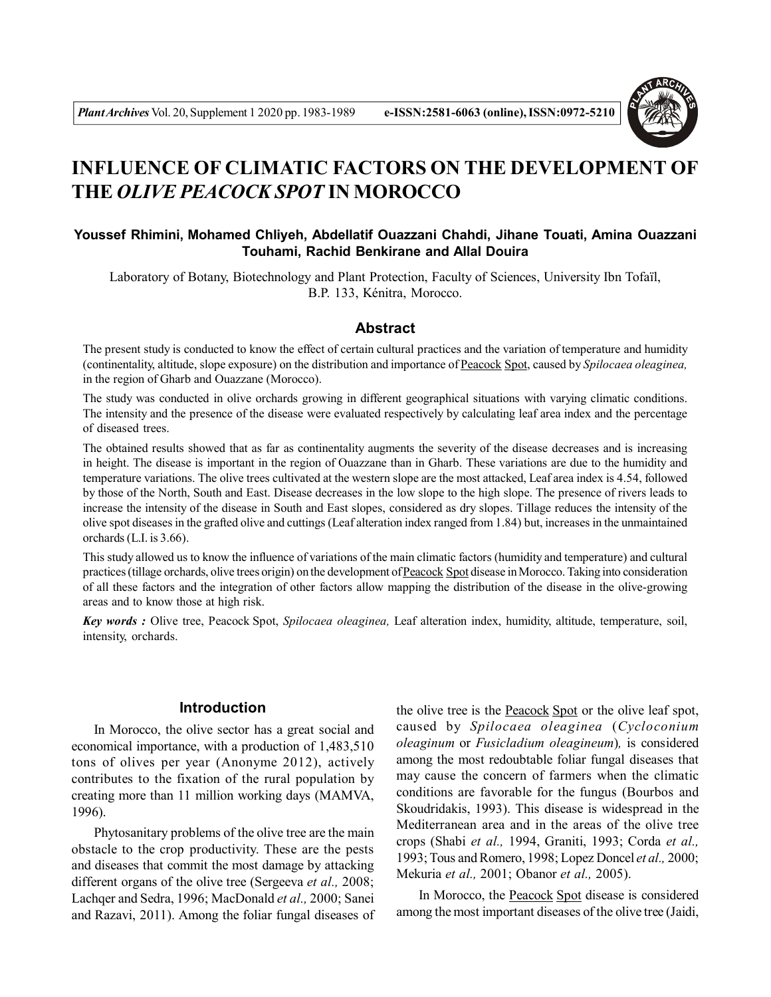

# **INFLUENCE OF CLIMATIC FACTORS ON THE DEVELOPMENT OF THE** *OLIVE PEACOCK SPOT* **IN MOROCCO**

## **Youssef Rhimini, Mohamed Chliyeh, Abdellatif Ouazzani Chahdi, Jihane Touati, Amina Ouazzani Touhami, Rachid Benkirane and Allal Douira**

Laboratory of Botany, Biotechnology and Plant Protection, Faculty of Sciences, University Ibn Tofaïl, B.P. 133, Kénitra, Morocco.

#### **Abstract**

The present study is conducted to know the effect of certain cultural practices and the variation of temperature and humidity (continentality, altitude, slope exposure) on the distribution and importance of Peacock Spot, caused by *Spilocaea oleaginea,* in the region of Gharb and Ouazzane (Morocco).

The study was conducted in olive orchards growing in different geographical situations with varying climatic conditions. The intensity and the presence of the disease were evaluated respectively by calculating leaf area index and the percentage of diseased trees.

The obtained results showed that as far as continentality augments the severity of the disease decreases and is increasing in height. The disease is important in the region of Ouazzane than in Gharb. These variations are due to the humidity and temperature variations. The olive trees cultivated at the western slope are the most attacked, Leaf area index is 4.54, followed by those of the North, South and East. Disease decreases in the low slope to the high slope. The presence of rivers leads to increase the intensity of the disease in South and East slopes, considered as dry slopes. Tillage reduces the intensity of the olive spot diseases in the grafted olive and cuttings (Leaf alteration index ranged from 1.84) but, increases in the unmaintained orchards (L.I. is 3.66).

This study allowed us to know the influence of variations of the main climatic factors (humidity and temperature) and cultural practices (tillage orchards, olive trees origin) on the development of Peacock Spot disease in Morocco. Taking into consideration of all these factors and the integration of other factors allow mapping the distribution of the disease in the olive-growing areas and to know those at high risk.

*Key words :* Olive tree, Peacock Spot, *Spilocaea oleaginea,* Leaf alteration index, humidity, altitude, temperature, soil, intensity, orchards.

# **Introduction**

In Morocco, the olive sector has a great social and economical importance, with a production of 1,483,510 tons of olives per year (Anonyme 2012), actively contributes to the fixation of the rural population by creating more than 11 million working days (MAMVA, 1996).

Phytosanitary problems of the olive tree are the main obstacle to the crop productivity. These are the pests and diseases that commit the most damage by attacking different organs of the olive tree (Sergeeva *et al.,* 2008; Lachqer and Sedra, 1996; MacDonald *et al.,* 2000; Sanei and Razavi, 2011). Among the foliar fungal diseases of the olive tree is the Peacock Spot or the olive leaf spot, caused by *Spilocaea oleaginea* (*Cycloconium oleaginum* or *Fusicladium oleagineum*)*,* is considered among the most redoubtable foliar fungal diseases that may cause the concern of farmers when the climatic conditions are favorable for the fungus (Bourbos and Skoudridakis, 1993). This disease is widespread in the Mediterranean area and in the areas of the olive tree crops (Shabi *et al.,* 1994, Graniti, 1993; Corda *et al.,* 1993; Tous and Romero, 1998; Lopez Doncel *et al.,* 2000; Mekuria *et al.,* 2001; Obanor *et al.,* 2005).

In Morocco, the Peacock Spot disease is considered among the most important diseases of the olive tree (Jaidi,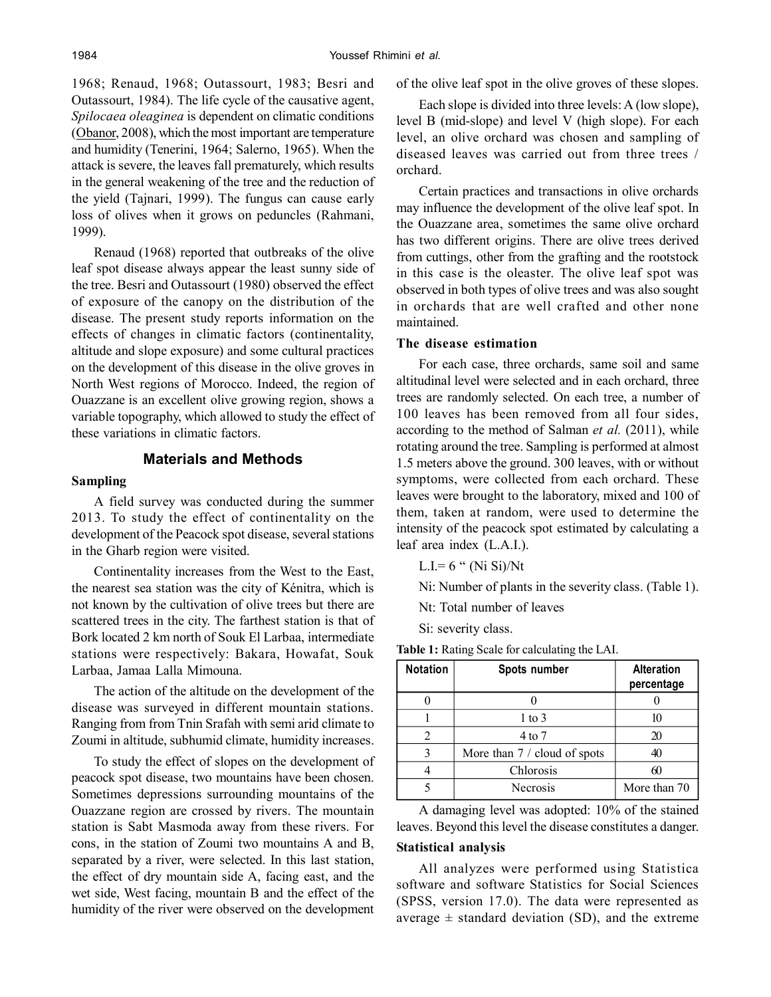1968; Renaud, 1968; Outassourt, 1983; Besri and Outassourt, 1984). The life cycle of the causative agent, *Spilocaea oleaginea* is dependent on climatic conditions (Obanor, 2008), which the most important are temperature and humidity (Tenerini, 1964; Salerno, 1965). When the attack is severe, the leaves fall prematurely, which results in the general weakening of the tree and the reduction of the yield (Tajnari, 1999). The fungus can cause early loss of olives when it grows on peduncles (Rahmani, 1999).

Renaud (1968) reported that outbreaks of the olive leaf spot disease always appear the least sunny side of the tree. Besri and Outassourt (1980) observed the effect of exposure of the canopy on the distribution of the disease. The present study reports information on the effects of changes in climatic factors (continentality, altitude and slope exposure) and some cultural practices on the development of this disease in the olive groves in North West regions of Morocco. Indeed, the region of Ouazzane is an excellent olive growing region, shows a variable topography, which allowed to study the effect of these variations in climatic factors.

# **Materials and Methods**

#### **Sampling**

A field survey was conducted during the summer 2013. To study the effect of continentality on the development of the Peacock spot disease, several stations in the Gharb region were visited.

Continentality increases from the West to the East, the nearest sea station was the city of Kénitra, which is not known by the cultivation of olive trees but there are scattered trees in the city. The farthest station is that of Bork located 2 km north of Souk El Larbaa, intermediate stations were respectively: Bakara, Howafat, Souk Larbaa, Jamaa Lalla Mimouna.

The action of the altitude on the development of the disease was surveyed in different mountain stations. Ranging from from Tnin Srafah with semi arid climate to Zoumi in altitude, subhumid climate, humidity increases.

To study the effect of slopes on the development of peacock spot disease, two mountains have been chosen. Sometimes depressions surrounding mountains of the Ouazzane region are crossed by rivers. The mountain station is Sabt Masmoda away from these rivers. For cons, in the station of Zoumi two mountains A and B, separated by a river, were selected. In this last station, the effect of dry mountain side A, facing east, and the wet side, West facing, mountain B and the effect of the humidity of the river were observed on the development

of the olive leaf spot in the olive groves of these slopes.

Each slope is divided into three levels: A (low slope), level B (mid-slope) and level V (high slope). For each level, an olive orchard was chosen and sampling of diseased leaves was carried out from three trees / orchard.

Certain practices and transactions in olive orchards may influence the development of the olive leaf spot. In the Ouazzane area, sometimes the same olive orchard has two different origins. There are olive trees derived from cuttings, other from the grafting and the rootstock in this case is the oleaster. The olive leaf spot was observed in both types of olive trees and was also sought in orchards that are well crafted and other none maintained.

## **The disease estimation**

For each case, three orchards, same soil and same altitudinal level were selected and in each orchard, three trees are randomly selected. On each tree, a number of 100 leaves has been removed from all four sides, according to the method of Salman *et al.* (2011), while rotating around the tree. Sampling is performed at almost 1.5 meters above the ground. 300 leaves, with or without symptoms, were collected from each orchard. These leaves were brought to the laboratory, mixed and 100 of them, taken at random, were used to determine the intensity of the peacock spot estimated by calculating a leaf area index (L.A.I.).

L.I.=  $6$  " (Ni Si)/Nt

Ni: Number of plants in the severity class. (Table 1).

Nt: Total number of leaves

Si: severity class.

| <b>Notation</b> | Spots number                 | <b>Alteration</b><br>percentage |
|-----------------|------------------------------|---------------------------------|
|                 |                              |                                 |
|                 | $1$ to $3$                   | 10                              |
| 2               | $4$ to $7$                   | 20                              |
|                 | More than 7 / cloud of spots | 40                              |
|                 | Chlorosis                    | 60                              |
|                 | <b>Necrosis</b>              | More than 70                    |

**Table 1:** Rating Scale for calculating the LAI.

A damaging level was adopted: 10% of the stained leaves. Beyond this level the disease constitutes a danger. **Statistical analysis**

All analyzes were performed using Statistica software and software Statistics for Social Sciences (SPSS, version 17.0). The data were represented as average  $\pm$  standard deviation (SD), and the extreme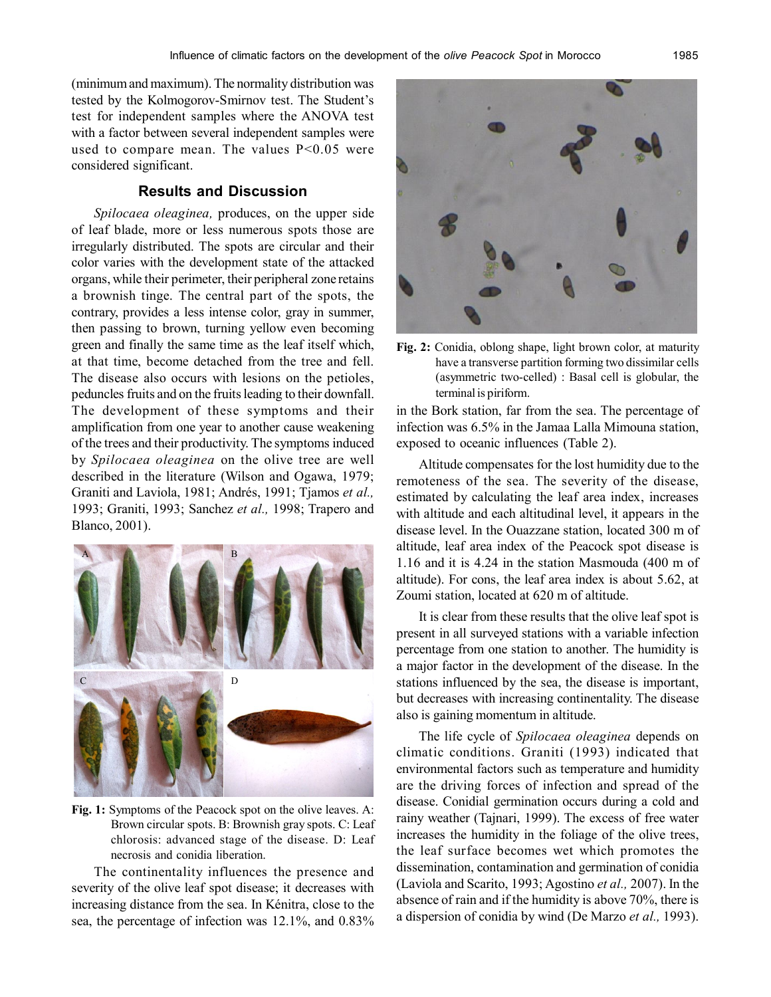(minimum and maximum). The normality distribution was tested by the Kolmogorov-Smirnov test. The Student's test for independent samples where the ANOVA test with a factor between several independent samples were used to compare mean. The values P<0.05 were considered significant.

# **Results and Discussion**

*Spilocaea oleaginea,* produces, on the upper side of leaf blade, more or less numerous spots those are irregularly distributed. The spots are circular and their color varies with the development state of the attacked organs, while their perimeter, their peripheral zone retains a brownish tinge. The central part of the spots, the contrary, provides a less intense color, gray in summer, then passing to brown, turning yellow even becoming green and finally the same time as the leaf itself which, at that time, become detached from the tree and fell. The disease also occurs with lesions on the petioles, peduncles fruits and on the fruits leading to their downfall. The development of these symptoms and their amplification from one year to another cause weakening of the trees and their productivity. The symptoms induced by *Spilocaea oleaginea* on the olive tree are well described in the literature (Wilson and Ogawa, 1979; Graniti and Laviola, 1981; Andrés, 1991; Tjamos *et al.,* 1993; Graniti, 1993; Sanchez *et al.,* 1998; Trapero and Blanco, 2001).



**Fig. 1:** Symptoms of the Peacock spot on the olive leaves. A: Brown circular spots. B: Brownish gray spots. C: Leaf chlorosis: advanced stage of the disease. D: Leaf necrosis and conidia liberation.

The continentality influences the presence and severity of the olive leaf spot disease; it decreases with increasing distance from the sea. In Kénitra, close to the sea, the percentage of infection was 12.1%, and 0.83%



**Fig. 2:** Conidia, oblong shape, light brown color, at maturity have a transverse partition forming two dissimilar cells (asymmetric two-celled) : Basal cell is globular, the terminal is piriform.

in the Bork station, far from the sea. The percentage of infection was 6.5% in the Jamaa Lalla Mimouna station, exposed to oceanic influences (Table 2).

Altitude compensates for the lost humidity due to the remoteness of the sea. The severity of the disease, estimated by calculating the leaf area index, increases with altitude and each altitudinal level, it appears in the disease level. In the Ouazzane station, located 300 m of altitude, leaf area index of the Peacock spot disease is 1.16 and it is 4.24 in the station Masmouda (400 m of altitude). For cons, the leaf area index is about 5.62, at Zoumi station, located at 620 m of altitude.

It is clear from these results that the olive leaf spot is present in all surveyed stations with a variable infection percentage from one station to another. The humidity is a major factor in the development of the disease. In the stations influenced by the sea, the disease is important, but decreases with increasing continentality. The disease also is gaining momentum in altitude.

The life cycle of *Spilocaea oleaginea* depends on climatic conditions. Graniti (1993) indicated that environmental factors such as temperature and humidity are the driving forces of infection and spread of the disease. Conidial germination occurs during a cold and rainy weather (Tajnari, 1999). The excess of free water increases the humidity in the foliage of the olive trees, the leaf surface becomes wet which promotes the dissemination, contamination and germination of conidia (Laviola and Scarito, 1993; Agostino *et al.,* 2007). In the absence of rain and if the humidity is above 70%, there is a dispersion of conidia by wind (De Marzo *et al.,* 1993).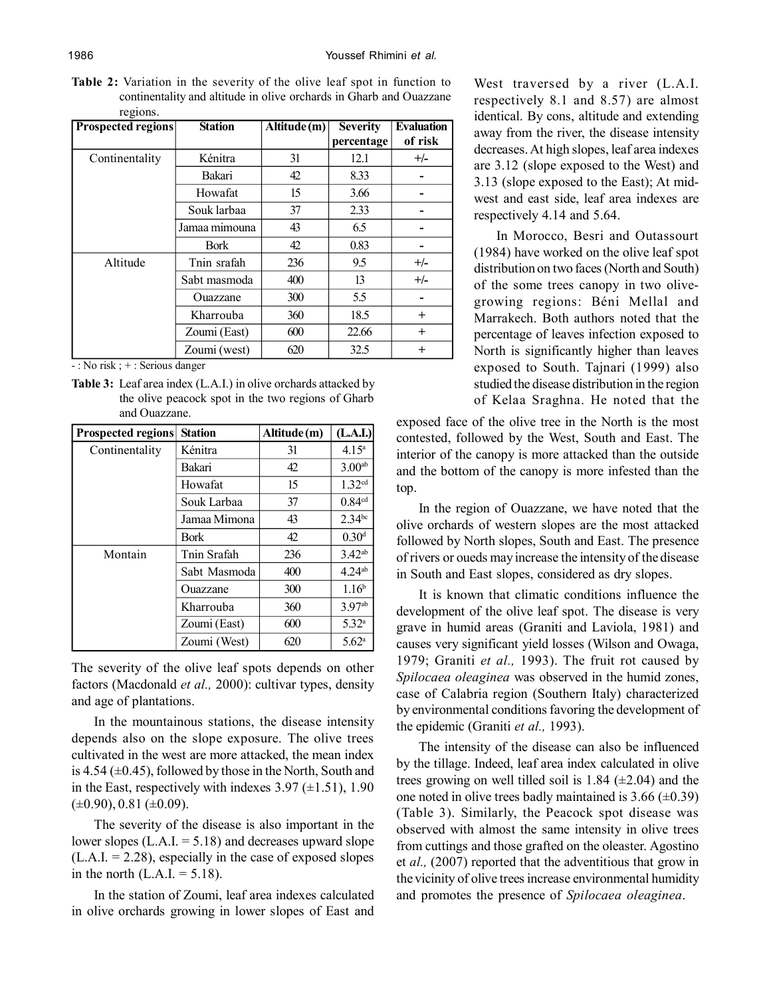**Table 2:** Variation in the severity of the olive leaf spot in function to continentality and altitude in olive orchards in Gharb and Ouazzane regions.

| <b>Prospected regions</b> | <b>Station</b> | Altitude (m) | <b>Severity</b> | <b>Evaluation</b> |
|---------------------------|----------------|--------------|-----------------|-------------------|
|                           |                |              | percentage      | of risk           |
| Continentality            | Kénitra        | 31           | 12.1            | $+/-$             |
|                           | Bakari         | 42           | 8.33            |                   |
|                           | Howafat        | 15           | 3.66            |                   |
|                           | Souk larbaa    | 37           | 2.33            |                   |
|                           | Jamaa mimouna  | 43           | 6.5             |                   |
|                           | <b>Bork</b>    | 42           | 0.83            |                   |
| Altitude                  | Tnin srafah    | 236          | 9.5             | $+/-$             |
|                           | Sabt masmoda   | 400          | 13              | $+/-$             |
|                           | Ouazzane       | 300          | 5.5             |                   |
|                           | Kharrouba      | 360          | 18.5            | $\pm$             |
|                           | Zoumi (East)   | 600          | 22.66           | $^{+}$            |
|                           | Zoumi (west)   | 620          | 32.5            | $^{+}$            |

 $\overline{\cdot}$ : No risk ;  $+$ : Serious danger

**Table 3:** Leaf area index (L.A.I.) in olive orchards attacked by the olive peacock spot in the two regions of Gharb and Ouazzane.

| <b>Prospected regions</b> | <b>Station</b> | Altitude(m) | (L.A.I.)             |
|---------------------------|----------------|-------------|----------------------|
| Continentality            | Kénitra        | 31          | 4.15 <sup>a</sup>    |
|                           | Bakari         | 42          | 3.00 <sup>ab</sup>   |
|                           | Howafat        | 15          | 1.32 <sup>cd</sup>   |
|                           | Souk Larbaa    | 37          | 0.84 <sup>cd</sup>   |
|                           | Jamaa Mimona   | 43          | $2.34$ bc            |
|                           | <b>Bork</b>    | 42          | 0.30 <sup>d</sup>    |
| Montain                   | Tnin Srafah    | 236         | $3.42^{ab}$          |
|                           | Sabt Masmoda   | 400         | $4.24$ <sup>ab</sup> |
|                           | Ouazzane       | 300         | 1.16 <sup>b</sup>    |
|                           | Kharrouba      | 360         | 3.97ab               |
|                           | Zoumi (East)   | 600         | 5.32 <sup>a</sup>    |
|                           | Zoumi (West)   | 620         | 5.62 <sup>a</sup>    |

The severity of the olive leaf spots depends on other factors (Macdonald *et al.,* 2000): cultivar types, density and age of plantations.

In the mountainous stations, the disease intensity depends also on the slope exposure. The olive trees cultivated in the west are more attacked, the mean index is 4.54  $(\pm 0.45)$ , followed by those in the North, South and in the East, respectively with indexes  $3.97 \ (\pm 1.51)$ ,  $1.90$  $(\pm 0.90), 0.81 (\pm 0.09).$ 

The severity of the disease is also important in the lower slopes  $(L.A.I. = 5.18)$  and decreases upward slope  $(L.A.I. = 2.28)$ , especially in the case of exposed slopes in the north  $(L.A.I. = 5.18)$ .

In the station of Zoumi, leaf area indexes calculated in olive orchards growing in lower slopes of East and

West traversed by a river (L.A.I. respectively 8.1 and 8.57) are almost identical. By cons, altitude and extending away from the river, the disease intensity decreases. At high slopes, leaf area indexes are 3.12 (slope exposed to the West) and 3.13 (slope exposed to the East); At midwest and east side, leaf area indexes are respectively 4.14 and 5.64.

In Morocco, Besri and Outassourt (1984) have worked on the olive leaf spot distribution on two faces (North and South) of the some trees canopy in two olivegrowing regions: Béni Mellal and Marrakech. Both authors noted that the percentage of leaves infection exposed to North is significantly higher than leaves exposed to South. Tajnari (1999) also studied the disease distribution in the region of Kelaa Sraghna. He noted that the

exposed face of the olive tree in the North is the most contested, followed by the West, South and East. The interior of the canopy is more attacked than the outside and the bottom of the canopy is more infested than the top.

In the region of Ouazzane, we have noted that the olive orchards of western slopes are the most attacked followed by North slopes, South and East. The presence of rivers or oueds may increase the intensity of the disease in South and East slopes, considered as dry slopes.

It is known that climatic conditions influence the development of the olive leaf spot. The disease is very grave in humid areas (Graniti and Laviola, 1981) and causes very significant yield losses (Wilson and Owaga, 1979; Graniti *et al.,* 1993). The fruit rot caused by *Spilocaea oleaginea* was observed in the humid zones, case of Calabria region (Southern Italy) characterized by environmental conditions favoring the development of the epidemic (Graniti *et al.,* 1993).

The intensity of the disease can also be influenced by the tillage. Indeed, leaf area index calculated in olive trees growing on well tilled soil is 1.84  $(\pm 2.04)$  and the one noted in olive trees badly maintained is  $3.66 \ (\pm 0.39)$ (Table 3). Similarly, the Peacock spot disease was observed with almost the same intensity in olive trees from cuttings and those grafted on the oleaster. Agostino et *al.,* (2007) reported that the adventitious that grow in the vicinity of olive trees increase environmental humidity and promotes the presence of *Spilocaea oleaginea*.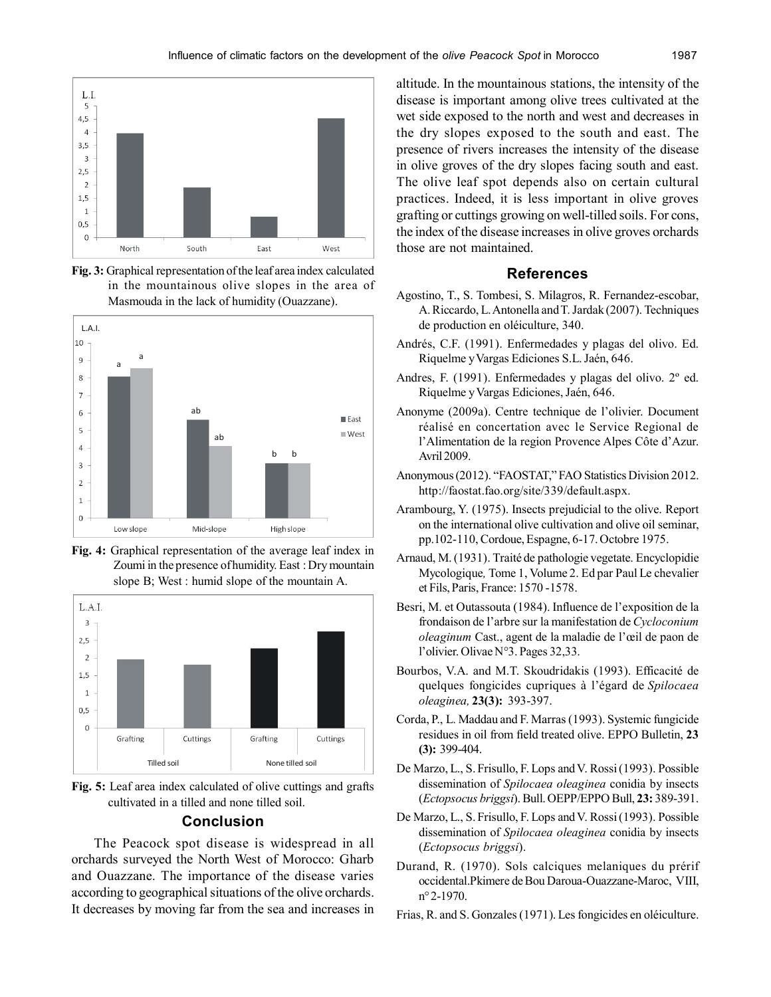

**Fig. 3:** Graphical representation of the leaf area index calculated in the mountainous olive slopes in the area of Masmouda in the lack of humidity (Ouazzane).



**Fig. 4:** Graphical representation of the average leaf index in Zoumi in the presence of humidity. East : Dry mountain slope B; West : humid slope of the mountain A.



**Fig. 5:** Leaf area index calculated of olive cuttings and grafts cultivated in a tilled and none tilled soil.

#### **Conclusion**

The Peacock spot disease is widespread in all orchards surveyed the North West of Morocco: Gharb and Ouazzane. The importance of the disease varies according to geographical situations of the olive orchards. It decreases by moving far from the sea and increases in

altitude. In the mountainous stations, the intensity of the disease is important among olive trees cultivated at the wet side exposed to the north and west and decreases in the dry slopes exposed to the south and east. The presence of rivers increases the intensity of the disease in olive groves of the dry slopes facing south and east. The olive leaf spot depends also on certain cultural practices. Indeed, it is less important in olive groves grafting or cuttings growing on well-tilled soils. For cons, the index of the disease increases in olive groves orchards those are not maintained.

### **References**

- Agostino, T., S. Tombesi, S. Milagros, R. Fernandez-escobar, A. Riccardo, L. Antonella and T. Jardak (2007). Techniques de production en oléiculture, 340.
- Andrés, C.F. (1991). Enfermedades y plagas del olivo. Ed. Riquelme y Vargas Ediciones S.L. Jaén, 646.
- Andres, F. (1991). Enfermedades y plagas del olivo. 2º ed. Riquelme y Vargas Ediciones, Jaén, 646.
- Anonyme (2009a). Centre technique de l'olivier. Document réalisé en concertation avec le Service Regional de l'Alimentation de la region Provence Alpes Côte d'Azur. Avril 2009.
- Anonymous (2012). "FAOSTAT," FAO Statistics Division 2012. http://faostat.fao.org/site/339/default.aspx.
- Arambourg, Y. (1975). Insects prejudicial to the olive. Report on the international olive cultivation and olive oil seminar, pp.102-110, Cordoue, Espagne, 6-17. Octobre 1975.
- Arnaud, M. (1931). Traité de pathologie vegetate. Encyclopidie Mycologique*,* Tome 1, Volume 2. Ed par Paul Le chevalier et Fils, Paris, France: 1570 -1578.
- Besri, M. et Outassouta (1984). Influence de l'exposition de la frondaison de l'arbre sur la manifestation de *Cycloconium oleaginum* Cast., agent de la maladie de l'œil de paon de l'olivier. Olivae N°3. Pages 32,33.
- Bourbos, V.A. and M.T. Skoudridakis (1993). Efficacité de quelques fongicides cupriques à l'égard de *Spilocaea oleaginea,* **23(3):** 393-397.
- Corda, P., L. Maddau and F. Marras (1993). Systemic fungicide residues in oil from field treated olive. EPPO Bulletin, **23 (3):** 399-404.
- De Marzo, L., S. Frisullo, F. Lops and V. Rossi (1993). Possible dissemination of *Spilocaea oleaginea* conidia by insects (*Ectopsocus briggsi*). Bull. OEPP/EPPO Bull, **23:** 389-391.
- De Marzo, L., S. Frisullo, F. Lops and V. Rossi (1993). Possible dissemination of *Spilocaea oleaginea* conidia by insects (*Ectopsocus briggsi*).
- Durand, R. (1970). Sols calciques melaniques du prérif occidental.Pkimere de Bou Daroua-Ouazzane-Maroc, VIII, n° 2-1970.
- Frias, R. and S. Gonzales (1971). Les fongicides en oléiculture.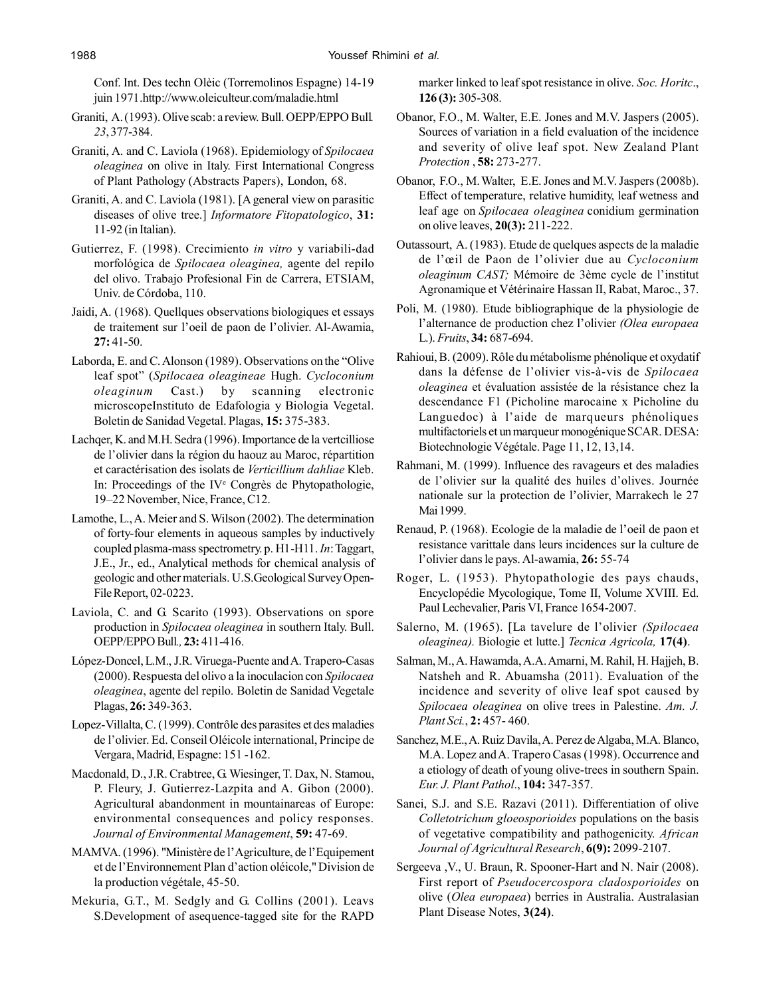Conf. Int. Des techn Olèic (Torremolinos Espagne) 14-19 juin 1971.http://www.oleiculteur.com/maladie.html

- Graniti, A. (1993). Olive scab: a review. Bull. OEPP/EPPO Bull*. 23*, 377-384.
- Graniti, A. and C. Laviola (1968). Epidemiology of *Spilocaea oleaginea* on olive in Italy. First International Congress of Plant Pathology (Abstracts Papers), London, 68.
- Graniti, A. and C. Laviola (1981). [A general view on parasitic diseases of olive tree.] *Informatore Fitopatologico*, **31:** 11-92 (in Italian).
- Gutierrez, F. (1998). Crecimiento *in vitro* y variabili-dad morfológica de *Spilocaea oleaginea,* agente del repilo del olivo. Trabajo Profesional Fin de Carrera, ETSIAM, Univ. de Córdoba, 110.
- Jaidi, A. (1968). Quellques observations biologiques et essays de traitement sur l'oeil de paon de l'olivier. Al-Awamia, **27:** 41-50.
- Laborda, E. and C. Alonson (1989). Observations on the "Olive leaf spot" (*Spilocaea oleagineae* Hugh. *Cycloconium oleaginum* Cast.) by scanning electronic microscopeInstituto de Edafologia y Biologia Vegetal. Boletin de Sanidad Vegetal. Plagas, **15:** 375-383.
- Lachqer, K. and M.H. Sedra (1996). Importance de la vertcilliose de l'olivier dans la région du haouz au Maroc, répartition et caractérisation des isolats de *Verticillium dahliae* Kleb. In: Proceedings of the IV<sup>e</sup> Congrès de Phytopathologie, 19–22 November, Nice, France, C12.
- Lamothe, L., A. Meier and S. Wilson (2002). The determination of forty-four elements in aqueous samples by inductively coupled plasma-mass spectrometry. p. H1-H11. *In*: Taggart, J.E., Jr., ed., Analytical methods for chemical analysis of geologic and other materials. U.S.Geological Survey Open-File Report, 02-0223.
- Laviola, C. and G. Scarito (1993). Observations on spore production in *Spilocaea oleaginea* in southern Italy. Bull. OEPP/EPPO Bull*.,* **23:** 411-416.
- López-Doncel, L.M., J.R. Viruega-Puente and A. Trapero-Casas (2000). Respuesta del olivo a la inoculacion con *Spilocaea oleaginea*, agente del repilo. Boletin de Sanidad Vegetale Plagas, **26:** 349-363.
- Lopez-Villalta, C. (1999). Contrôle des parasites et des maladies de l'olivier. Ed. Conseil Oléicole international, Principe de Vergara, Madrid, Espagne: 151 -162.
- Macdonald, D., J.R. Crabtree, G. Wiesinger, T. Dax, N. Stamou, P. Fleury, J. Gutierrez-Lazpita and A. Gibon (2000). Agricultural abandonment in mountainareas of Europe: environmental consequences and policy responses. *Journal of Environmental Management*, **59:** 47-69.
- MAMVA. (1996). "Ministère de l'Agriculture, de l'Equipement et de l'Environnement Plan d'action oléicole," Division de la production végétale, 45-50.
- Mekuria, G.T., M. Sedgly and G. Collins (2001). Leavs S.Development of asequence-tagged site for the RAPD

marker linked to leaf spot resistance in olive. *Soc. Horitc*., **126 (3):** 305-308.

- Obanor, F.O., M. Walter, E.E. Jones and M.V. Jaspers (2005). Sources of variation in a field evaluation of the incidence and severity of olive leaf spot. New Zealand Plant *Protection* , **58:** 273-277.
- Obanor, F.O., M. Walter, E.E. Jones and M.V. Jaspers (2008b). Effect of temperature, relative humidity, leaf wetness and leaf age on *Spilocaea oleaginea* conidium germination on olive leaves, **20(3):** 211-222.
- Outassourt, A. (1983). Etude de quelques aspects de la maladie de l'œil de Paon de l'olivier due au *Cycloconium oleaginum CAST;* Mémoire de 3ème cycle de l'institut Agronamique et Vétérinaire Hassan II, Rabat, Maroc., 37.
- Poli, M. (1980). Etude bibliographique de la physiologie de l'alternance de production chez l'olivier *(Olea europaea* L.). *Fruits*, **34:** 687-694.
- Rahioui, B. (2009). Rôle du métabolisme phénolique et oxydatif dans la défense de l'olivier vis-à-vis de *Spilocaea oleaginea* et évaluation assistée de la résistance chez la descendance F1 (Picholine marocaine x Picholine du Languedoc) à l'aide de marqueurs phénoliques multifactoriels et un marqueur monogénique SCAR. DESA: Biotechnologie Végétale. Page 11, 12, 13,14.
- Rahmani, M. (1999). Influence des ravageurs et des maladies de l'olivier sur la qualité des huiles d'olives. Journée nationale sur la protection de l'olivier, Marrakech le 27 Mai 1999.
- Renaud, P. (1968). Ecologie de la maladie de l'oeil de paon et resistance varittale dans leurs incidences sur la culture de l'olivier dans le pays. Al-awamia, **26:** 55-74
- Roger, L. (1953). Phytopathologie des pays chauds, Encyclopédie Mycologique, Tome II, Volume XVIII. Ed. Paul Lechevalier, Paris VI, France 1654-2007.
- Salerno, M. (1965). [La tavelure de l'olivier *(Spilocaea oleaginea).* Biologie et lutte.] *Tecnica Agricola,* **17(4)**.
- Salman, M., A. Hawamda, A.A. Amarni, M. Rahil, H. Hajjeh, B. Natsheh and R. Abuamsha (2011). Evaluation of the incidence and severity of olive leaf spot caused by *Spilocaea oleaginea* on olive trees in Palestine. *Am. J. Plant Sci.*, **2:** 457- 460.
- Sanchez, M.E., A. Ruiz Davila, A. Perez de Algaba, M.A. Blanco, M.A. Lopez and A. Trapero Casas (1998). Occurrence and a etiology of death of young olive-trees in southern Spain. *Eur. J. Plant Pathol*., **104:** 347-357.
- Sanei, S.J. and S.E. Razavi (2011). Differentiation of olive *Colletotrichum gloeosporioides* populations on the basis of vegetative compatibility and pathogenicity. *African Journal of Agricultural Research*, **6(9):** 2099-2107.
- Sergeeva ,V., U. Braun, R. Spooner-Hart and N. Nair (2008). First report of *Pseudocercospora cladosporioides* on olive (*Olea europaea*) berries in Australia. Australasian Plant Disease Notes, **3(24)**.